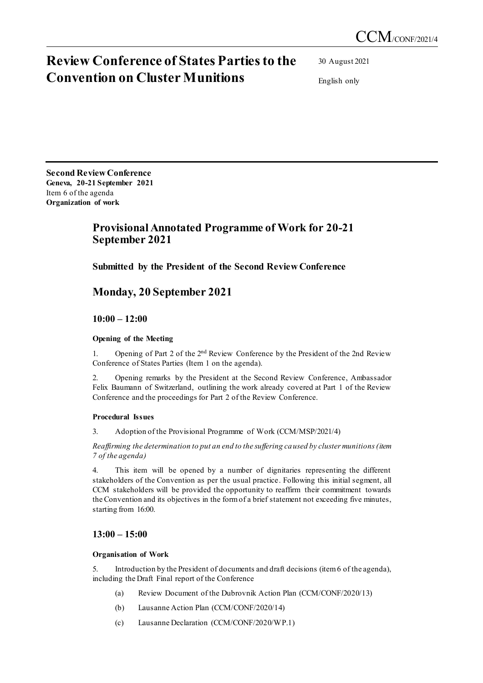# **Review Conference of States Parties to the Convention on Cluster Munitions**

30 August 2021

English only

**Second Review Conference Geneva, 20-21 September 2021** Item 6 of the agenda **Organization of work**

# **Provisional Annotated Programme of Work for 20-21 September 2021**

**Submitted by the President of the Second Review Conference** 

## **Monday, 20 September 2021**

**10:00 – 12:00** 

#### **Opening of the Meeting**

1. Opening of Part 2 of the 2<sup>nd</sup> Review Conference by the President of the 2nd Review Conference of States Parties (Item 1 on the agenda).

2. Opening remarks by the President at the Second Review Conference, Ambassador Felix Baumann of Switzerland, outlining the work already covered at Part 1 of the Review Conference and the proceedings for Part 2 of the Review Conference.

#### **Procedural Issues**

3. Adoption of the Provisional Programme of Work (CCM/MSP/2021/4)

*Reaffirming the determination to put an end to the suffering caused by cluster munitions (item 7 of the agenda)*

4. This item will be opened by a number of dignitaries representing the different stakeholders of the Convention as per the usual practice. Following this initial segment, all CCM stakeholders will be provided the opportunity to reaffirm their commitment towards the Convention and its objectives in the form of a brief statement not exceeding five minutes, starting from 16:00.

### **13:00 – 15:00**

#### **Organisation of Work**

5. Introduction by the President of documents and draft decisions (item 6 of the agenda), including the Draft Final report of the Conference

- (a) Review Document of the Dubrovnik Action Plan (CCM/CONF/2020/13)
- (b) Lausanne Action Plan (CCM/CONF/2020/14)
- (c) Lausanne Declaration (CCM/CONF/2020/WP.1)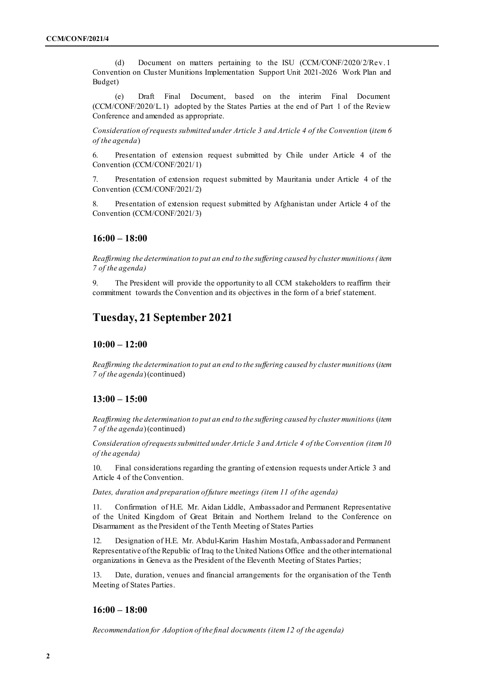(d) Document on matters pertaining to the ISU (CCM/CONF/2020/2/Rev. 1 Convention on Cluster Munitions Implementation Support Unit 2021-2026 Work Plan and Budget)

(e) Draft Final Document, based on the interim Final Document (CCM/CONF/2020/L.1) adopted by the States Parties at the end of Part 1 of the Review Conference and amended as appropriate.

*Consideration of requests submitted under Article 3 and Article 4 of the Convention* (*item 6 of the agenda*)

6. Presentation of extension request submitted by Chile under Article 4 of the Convention (CCM/CONF/2021/1)

7. Presentation of extension request submitted by Mauritania under Article 4 of the Convention (CCM/CONF/2021/2)

8. Presentation of extension request submitted by Afghanistan under Article 4 of the Convention (CCM/CONF/2021/3)

#### **16:00 – 18:00**

*Reaffirming the determination to put an end to the suffering caused by cluster munitions (item 7 of the agenda)*

9. The President will provide the opportunity to all CCM stakeholders to reaffirm their commitment towards the Convention and its objectives in the form of a brief statement.

### **Tuesday, 21 September 2021**

#### **10:00 – 12:00**

*Reaffirming the determination to put an end to the suffering caused by cluster munitions* (*item 7 of the agenda*)(continued)

#### **13:00 – 15:00**

*Reaffirming the determination to put an end to the suffering caused by cluster munitions* (*item 7 of the agenda*)(continued)

*Consideration of requests submitted under Article 3 and Article 4 of the Convention (item 10 of the agenda)*

10. Final considerations regarding the granting of extension requests under Article 3 and Article 4 of the Convention.

*Dates, duration and preparation of future meetings (item 11 of the agenda)*

11. Confirmation of H.E. Mr. Aidan Liddle, Ambassador and Permanent Representative of the United Kingdom of Great Britain and Northern Ireland to the Conference on Disarmament as the President of the Tenth Meeting of States Parties

12. Designation of H.E. Mr. Abdul-Karim Hashim Mostafa, Ambassador and Permanent Representative of the Republic of Iraq to the United Nations Office and the other international organizations in Geneva as the President of the Eleventh Meeting of States Parties;

13. Date, duration, venues and financial arrangements for the organisation of the Tenth Meeting of States Parties.

#### **16:00 – 18:00**

*Recommendation for Adoption of the final documents (item 12 of the agenda)*